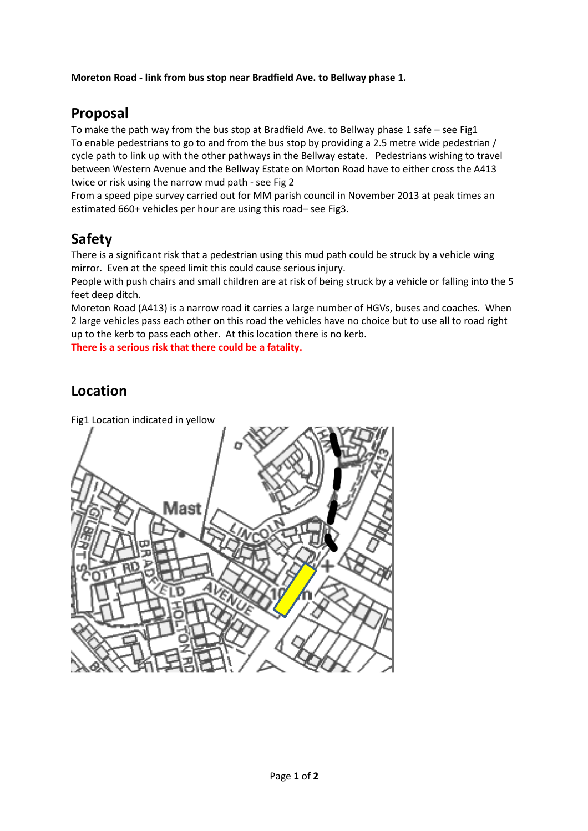#### **Moreton Road - link from bus stop near Bradfield Ave. to Bellway phase 1.**

## **Proposal**

To make the path way from the bus stop at Bradfield Ave. to Bellway phase 1 safe – see Fig1 To enable pedestrians to go to and from the bus stop by providing a 2.5 metre wide pedestrian / cycle path to link up with the other pathways in the Bellway estate. Pedestrians wishing to travel between Western Avenue and the Bellway Estate on Morton Road have to either cross the A413 twice or risk using the narrow mud path - see Fig 2

From a speed pipe survey carried out for MM parish council in November 2013 at peak times an estimated 660+ vehicles per hour are using this road– see Fig3.

## **Safety**

There is a significant risk that a pedestrian using this mud path could be struck by a vehicle wing mirror. Even at the speed limit this could cause serious injury.

People with push chairs and small children are at risk of being struck by a vehicle or falling into the 5 feet deep ditch.

Moreton Road (A413) is a narrow road it carries a large number of HGVs, buses and coaches. When 2 large vehicles pass each other on this road the vehicles have no choice but to use all to road right up to the kerb to pass each other. At this location there is no kerb.

**There is a serious risk that there could be a fatality.** 

#### **Location**

Fig1 Location indicated in yellow vlast